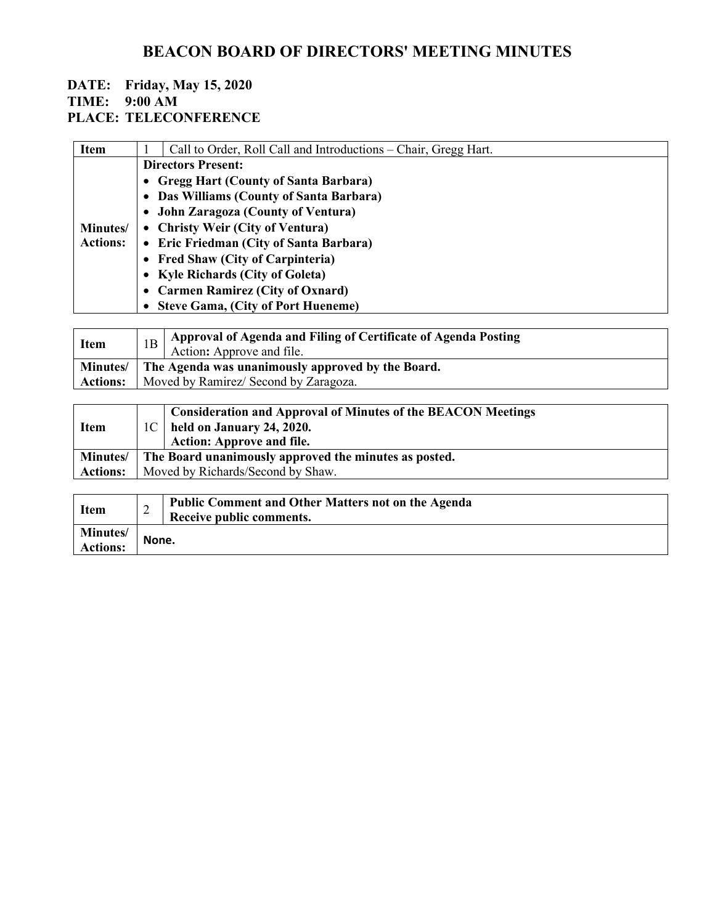#### **DATE: Friday, May 15, 2020 TIME: 9:00 AM PLACE: TELECONFERENCE**

| <b>Item</b>     | Call to Order, Roll Call and Introductions – Chair, Gregg Hart.                                                                                                                   |
|-----------------|-----------------------------------------------------------------------------------------------------------------------------------------------------------------------------------|
|                 | <b>Directors Present:</b>                                                                                                                                                         |
|                 | • Gregg Hart (County of Santa Barbara)                                                                                                                                            |
|                 | • Das Williams (County of Santa Barbara)                                                                                                                                          |
|                 | • John Zaragoza (County of Ventura)                                                                                                                                               |
| Minutes/        | • Christy Weir (City of Ventura)                                                                                                                                                  |
| <b>Actions:</b> | • Eric Friedman (City of Santa Barbara)                                                                                                                                           |
|                 | • Fred Shaw (City of Carpinteria)                                                                                                                                                 |
|                 | • Kyle Richards (City of Goleta)                                                                                                                                                  |
|                 | • Carmen Ramirez (City of Oxnard)                                                                                                                                                 |
|                 | • Steve Gama, (City of Port Hueneme)                                                                                                                                              |
|                 |                                                                                                                                                                                   |
|                 | $\lambda$ - $\ldots$ . Let $\lambda$ - $\ldots$ let $\ldots$ if $\mathbb{R}^{n}$ . Let $\Omega$ , $\ldots$ if $\mathbb{R}^{n}$ , if $\lambda$ - $\ldots$ if $\ldots$ let $\Omega$ |

| Item            |                                                              | Approval of Agenda and Filing of Certificate of Agenda Posting<br>Action: Approve and file. |
|-----------------|--------------------------------------------------------------|---------------------------------------------------------------------------------------------|
|                 | Minutes/   The Agenda was unanimously approved by the Board. |                                                                                             |
| <b>Actions:</b> | Moved by Ramirez/ Second by Zaragoza.                        |                                                                                             |

| Consideration and Approval of Minutes of the BEACON Meetings<br>$\pm 1C$   held on January 24, 2020.<br><b>Action: Approve and file.</b> |  |
|------------------------------------------------------------------------------------------------------------------------------------------|--|
| The Board unanimously approved the minutes as posted.                                                                                    |  |
| Moved by Richards/Second by Shaw.                                                                                                        |  |
|                                                                                                                                          |  |

| <b>Item</b>                 | ∠     | <b>Public Comment and Other Matters not on the Agenda</b><br>Receive public comments. |
|-----------------------------|-------|---------------------------------------------------------------------------------------|
| Minutes/<br><b>Actions:</b> | None. |                                                                                       |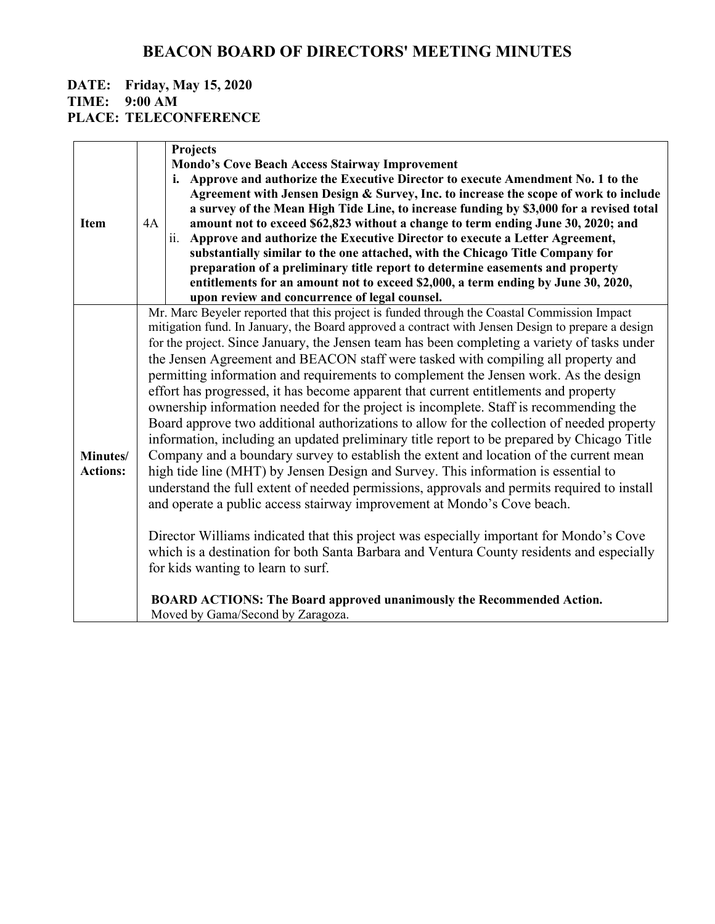#### **DATE: Friday, May 15, 2020 TIME: 9:00 AM PLACE: TELECONFERENCE**

|                 |                                                                                              | Projects                                                                                          |  |
|-----------------|----------------------------------------------------------------------------------------------|---------------------------------------------------------------------------------------------------|--|
|                 |                                                                                              | <b>Mondo's Cove Beach Access Stairway Improvement</b>                                             |  |
|                 |                                                                                              | i. Approve and authorize the Executive Director to execute Amendment No. 1 to the                 |  |
|                 |                                                                                              | Agreement with Jensen Design & Survey, Inc. to increase the scope of work to include              |  |
|                 |                                                                                              | a survey of the Mean High Tide Line, to increase funding by \$3,000 for a revised total           |  |
| <b>Item</b>     | 4A                                                                                           | amount not to exceed \$62,823 without a change to term ending June 30, 2020; and                  |  |
|                 |                                                                                              | ii. Approve and authorize the Executive Director to execute a Letter Agreement,                   |  |
|                 |                                                                                              | substantially similar to the one attached, with the Chicago Title Company for                     |  |
|                 |                                                                                              |                                                                                                   |  |
|                 |                                                                                              | preparation of a preliminary title report to determine easements and property                     |  |
|                 |                                                                                              | entitlements for an amount not to exceed \$2,000, a term ending by June 30, 2020,                 |  |
|                 |                                                                                              | upon review and concurrence of legal counsel.                                                     |  |
|                 |                                                                                              | Mr. Marc Beyeler reported that this project is funded through the Coastal Commission Impact       |  |
|                 |                                                                                              | mitigation fund. In January, the Board approved a contract with Jensen Design to prepare a design |  |
|                 | for the project. Since January, the Jensen team has been completing a variety of tasks under |                                                                                                   |  |
|                 | the Jensen Agreement and BEACON staff were tasked with compiling all property and            |                                                                                                   |  |
|                 | permitting information and requirements to complement the Jensen work. As the design         |                                                                                                   |  |
|                 | effort has progressed, it has become apparent that current entitlements and property         |                                                                                                   |  |
|                 |                                                                                              | ownership information needed for the project is incomplete. Staff is recommending the             |  |
|                 |                                                                                              | Board approve two additional authorizations to allow for the collection of needed property        |  |
|                 |                                                                                              | information, including an updated preliminary title report to be prepared by Chicago Title        |  |
|                 |                                                                                              |                                                                                                   |  |
| Minutes/        | Company and a boundary survey to establish the extent and location of the current mean       |                                                                                                   |  |
| <b>Actions:</b> | high tide line (MHT) by Jensen Design and Survey. This information is essential to           |                                                                                                   |  |
|                 | understand the full extent of needed permissions, approvals and permits required to install  |                                                                                                   |  |
|                 |                                                                                              | and operate a public access stairway improvement at Mondo's Cove beach.                           |  |
|                 |                                                                                              |                                                                                                   |  |
|                 |                                                                                              | Director Williams indicated that this project was especially important for Mondo's Cove           |  |
|                 |                                                                                              | which is a destination for both Santa Barbara and Ventura County residents and especially         |  |
|                 |                                                                                              | for kids wanting to learn to surf.                                                                |  |
|                 |                                                                                              |                                                                                                   |  |
|                 |                                                                                              | <b>BOARD ACTIONS: The Board approved unanimously the Recommended Action.</b>                      |  |
|                 |                                                                                              | Moved by Gama/Second by Zaragoza.                                                                 |  |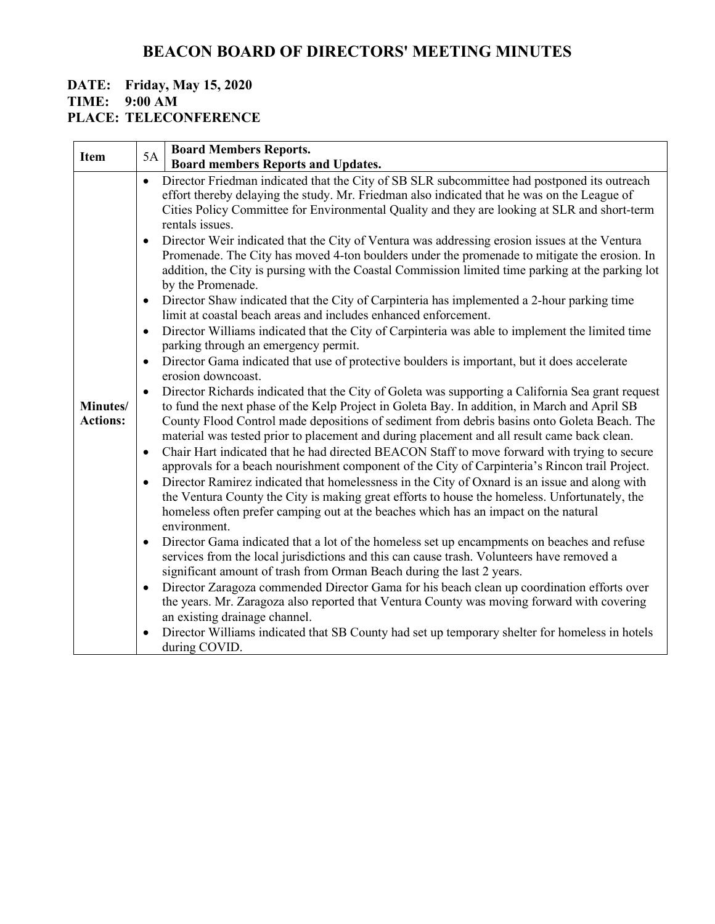#### **DATE: Friday, May 15, 2020 TIME: 9:00 AM**

**PLACE: TELECONFERENCE**

| <b>Item</b>                 | <b>Board Members Reports.</b><br>5A                                                                                                                                                                                                                                                                                                                                                                                                                                                                                                                                                                                                                                                                                                                                                                                                                                                                                                                                                                                                                                                                                                                                                                                                                                                                                                                                                                                                                                                                                                                                                                                                                                                                                                                                                                                                                                                                                                                                                                                                                                                                                                                                                                                                                                                                                                                                                                                                                                                                                                                                                                                                                                                                                                                          |
|-----------------------------|--------------------------------------------------------------------------------------------------------------------------------------------------------------------------------------------------------------------------------------------------------------------------------------------------------------------------------------------------------------------------------------------------------------------------------------------------------------------------------------------------------------------------------------------------------------------------------------------------------------------------------------------------------------------------------------------------------------------------------------------------------------------------------------------------------------------------------------------------------------------------------------------------------------------------------------------------------------------------------------------------------------------------------------------------------------------------------------------------------------------------------------------------------------------------------------------------------------------------------------------------------------------------------------------------------------------------------------------------------------------------------------------------------------------------------------------------------------------------------------------------------------------------------------------------------------------------------------------------------------------------------------------------------------------------------------------------------------------------------------------------------------------------------------------------------------------------------------------------------------------------------------------------------------------------------------------------------------------------------------------------------------------------------------------------------------------------------------------------------------------------------------------------------------------------------------------------------------------------------------------------------------------------------------------------------------------------------------------------------------------------------------------------------------------------------------------------------------------------------------------------------------------------------------------------------------------------------------------------------------------------------------------------------------------------------------------------------------------------------------------------------------|
|                             | <b>Board members Reports and Updates.</b>                                                                                                                                                                                                                                                                                                                                                                                                                                                                                                                                                                                                                                                                                                                                                                                                                                                                                                                                                                                                                                                                                                                                                                                                                                                                                                                                                                                                                                                                                                                                                                                                                                                                                                                                                                                                                                                                                                                                                                                                                                                                                                                                                                                                                                                                                                                                                                                                                                                                                                                                                                                                                                                                                                                    |
| Minutes/<br><b>Actions:</b> | Director Friedman indicated that the City of SB SLR subcommittee had postponed its outreach<br>$\bullet$<br>effort thereby delaying the study. Mr. Friedman also indicated that he was on the League of<br>Cities Policy Committee for Environmental Quality and they are looking at SLR and short-term<br>rentals issues.<br>Director Weir indicated that the City of Ventura was addressing erosion issues at the Ventura<br>$\bullet$<br>Promenade. The City has moved 4-ton boulders under the promenade to mitigate the erosion. In<br>addition, the City is pursing with the Coastal Commission limited time parking at the parking lot<br>by the Promenade.<br>Director Shaw indicated that the City of Carpinteria has implemented a 2-hour parking time<br>$\bullet$<br>limit at coastal beach areas and includes enhanced enforcement.<br>Director Williams indicated that the City of Carpinteria was able to implement the limited time<br>$\bullet$<br>parking through an emergency permit.<br>Director Gama indicated that use of protective boulders is important, but it does accelerate<br>$\bullet$<br>erosion downcoast.<br>Director Richards indicated that the City of Goleta was supporting a California Sea grant request<br>$\bullet$<br>to fund the next phase of the Kelp Project in Goleta Bay. In addition, in March and April SB<br>County Flood Control made depositions of sediment from debris basins onto Goleta Beach. The<br>material was tested prior to placement and during placement and all result came back clean.<br>Chair Hart indicated that he had directed BEACON Staff to move forward with trying to secure<br>$\bullet$<br>approvals for a beach nourishment component of the City of Carpinteria's Rincon trail Project.<br>Director Ramirez indicated that homelessness in the City of Oxnard is an issue and along with<br>$\bullet$<br>the Ventura County the City is making great efforts to house the homeless. Unfortunately, the<br>homeless often prefer camping out at the beaches which has an impact on the natural<br>environment.<br>Director Gama indicated that a lot of the homeless set up encampments on beaches and refuse<br>$\bullet$<br>services from the local jurisdictions and this can cause trash. Volunteers have removed a<br>significant amount of trash from Orman Beach during the last 2 years.<br>Director Zaragoza commended Director Gama for his beach clean up coordination efforts over<br>$\bullet$<br>the years. Mr. Zaragoza also reported that Ventura County was moving forward with covering<br>an existing drainage channel.<br>Director Williams indicated that SB County had set up temporary shelter for homeless in hotels<br>$\bullet$<br>during COVID. |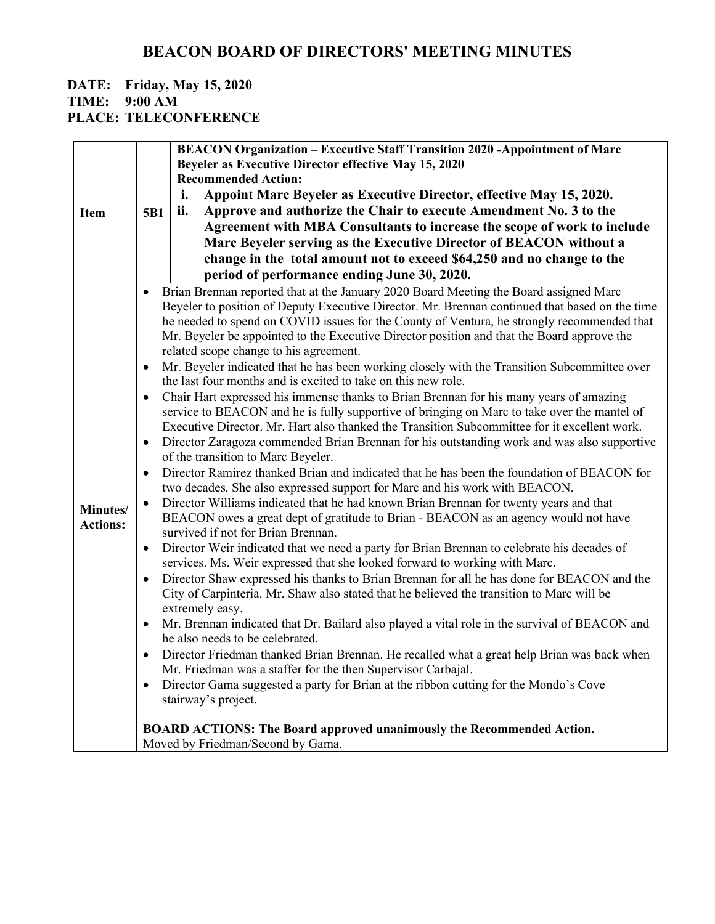# **DATE: Friday, May 15, 2020**

**TIME: 9:00 AM**

**PLACE: TELECONFERENCE**

|                 |           | <b>BEACON Organization - Executive Staff Transition 2020 -Appointment of Marc</b>                                                                                        |
|-----------------|-----------|--------------------------------------------------------------------------------------------------------------------------------------------------------------------------|
|                 |           | <b>Beyeler as Executive Director effective May 15, 2020</b>                                                                                                              |
|                 |           | <b>Recommended Action:</b>                                                                                                                                               |
|                 |           | Appoint Marc Beyeler as Executive Director, effective May 15, 2020.<br>i.                                                                                                |
| <b>Item</b>     | 5B1       | Approve and authorize the Chair to execute Amendment No. 3 to the<br>ii.                                                                                                 |
|                 |           | Agreement with MBA Consultants to increase the scope of work to include                                                                                                  |
|                 |           | Marc Beyeler serving as the Executive Director of BEACON without a                                                                                                       |
|                 |           | change in the total amount not to exceed \$64,250 and no change to the                                                                                                   |
|                 |           | period of performance ending June 30, 2020.                                                                                                                              |
|                 | $\bullet$ | Brian Brennan reported that at the January 2020 Board Meeting the Board assigned Marc                                                                                    |
|                 |           | Beyeler to position of Deputy Executive Director. Mr. Brennan continued that based on the time                                                                           |
|                 |           | he needed to spend on COVID issues for the County of Ventura, he strongly recommended that                                                                               |
|                 |           | Mr. Beyeler be appointed to the Executive Director position and that the Board approve the                                                                               |
|                 |           | related scope change to his agreement.                                                                                                                                   |
|                 |           | Mr. Beyeler indicated that he has been working closely with the Transition Subcommittee over                                                                             |
|                 |           | the last four months and is excited to take on this new role.                                                                                                            |
|                 | $\bullet$ | Chair Hart expressed his immense thanks to Brian Brennan for his many years of amazing                                                                                   |
|                 |           | service to BEACON and he is fully supportive of bringing on Marc to take over the mantel of                                                                              |
|                 |           | Executive Director. Mr. Hart also thanked the Transition Subcommittee for it excellent work.                                                                             |
|                 |           | Director Zaragoza commended Brian Brennan for his outstanding work and was also supportive                                                                               |
|                 |           | of the transition to Marc Beyeler.                                                                                                                                       |
|                 | $\bullet$ | Director Ramirez thanked Brian and indicated that he has been the foundation of BEACON for<br>two decades. She also expressed support for Marc and his work with BEACON. |
| Minutes/        | $\bullet$ | Director Williams indicated that he had known Brian Brennan for twenty years and that                                                                                    |
| <b>Actions:</b> |           | BEACON owes a great dept of gratitude to Brian - BEACON as an agency would not have                                                                                      |
|                 |           | survived if not for Brian Brennan.                                                                                                                                       |
|                 | $\bullet$ | Director Weir indicated that we need a party for Brian Brennan to celebrate his decades of                                                                               |
|                 |           | services. Ms. Weir expressed that she looked forward to working with Marc.                                                                                               |
|                 | $\bullet$ | Director Shaw expressed his thanks to Brian Brennan for all he has done for BEACON and the                                                                               |
|                 |           | City of Carpinteria. Mr. Shaw also stated that he believed the transition to Marc will be                                                                                |
|                 |           | extremely easy.                                                                                                                                                          |
|                 | $\bullet$ | Mr. Brennan indicated that Dr. Bailard also played a vital role in the survival of BEACON and<br>he also needs to be celebrated.                                         |
|                 |           | Director Friedman thanked Brian Brennan. He recalled what a great help Brian was back when<br>Mr. Friedman was a staffer for the then Supervisor Carbajal.               |
|                 | $\bullet$ | Director Gama suggested a party for Brian at the ribbon cutting for the Mondo's Cove                                                                                     |
|                 |           | stairway's project.                                                                                                                                                      |
|                 |           | <b>BOARD ACTIONS: The Board approved unanimously the Recommended Action.</b>                                                                                             |
|                 |           | Moved by Friedman/Second by Gama.                                                                                                                                        |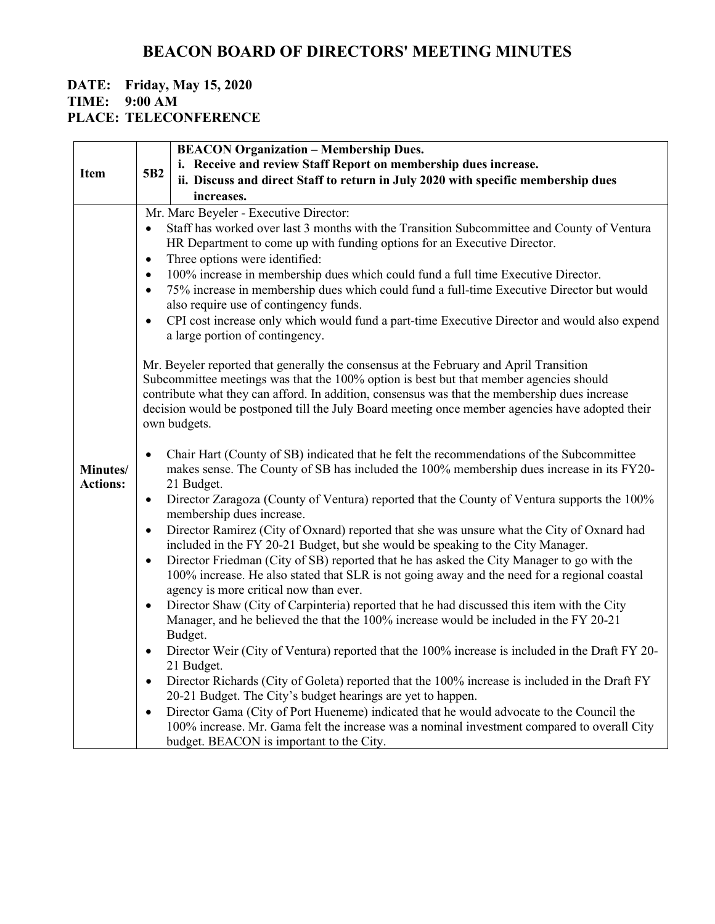#### **DATE: Friday, May 15, 2020 TIME: 9:00 AM PLACE: TELECONFERENCE**

|                 | <b>BEACON Organization - Membership Dues.</b>                                                                                                                                                        |  |  |  |
|-----------------|------------------------------------------------------------------------------------------------------------------------------------------------------------------------------------------------------|--|--|--|
| <b>Item</b>     | i. Receive and review Staff Report on membership dues increase.<br>5B <sub>2</sub>                                                                                                                   |  |  |  |
|                 | ii. Discuss and direct Staff to return in July 2020 with specific membership dues                                                                                                                    |  |  |  |
|                 | increases.                                                                                                                                                                                           |  |  |  |
|                 | Mr. Marc Beyeler - Executive Director:                                                                                                                                                               |  |  |  |
|                 | Staff has worked over last 3 months with the Transition Subcommittee and County of Ventura<br>$\bullet$                                                                                              |  |  |  |
|                 | HR Department to come up with funding options for an Executive Director.<br>Three options were identified:<br>$\bullet$                                                                              |  |  |  |
|                 | 100% increase in membership dues which could fund a full time Executive Director.<br>$\bullet$                                                                                                       |  |  |  |
|                 | 75% increase in membership dues which could fund a full-time Executive Director but would<br>$\bullet$                                                                                               |  |  |  |
|                 | also require use of contingency funds.                                                                                                                                                               |  |  |  |
|                 | CPI cost increase only which would fund a part-time Executive Director and would also expend<br>$\bullet$                                                                                            |  |  |  |
|                 | a large portion of contingency.                                                                                                                                                                      |  |  |  |
|                 | Mr. Beyeler reported that generally the consensus at the February and April Transition                                                                                                               |  |  |  |
|                 | Subcommittee meetings was that the 100% option is best but that member agencies should                                                                                                               |  |  |  |
|                 | contribute what they can afford. In addition, consensus was that the membership dues increase                                                                                                        |  |  |  |
|                 | decision would be postponed till the July Board meeting once member agencies have adopted their                                                                                                      |  |  |  |
|                 | own budgets.                                                                                                                                                                                         |  |  |  |
|                 | Chair Hart (County of SB) indicated that he felt the recommendations of the Subcommittee<br>$\bullet$                                                                                                |  |  |  |
| Minutes/        | makes sense. The County of SB has included the 100% membership dues increase in its FY20-                                                                                                            |  |  |  |
| <b>Actions:</b> | 21 Budget.                                                                                                                                                                                           |  |  |  |
|                 | Director Zaragoza (County of Ventura) reported that the County of Ventura supports the 100%<br>$\bullet$<br>membership dues increase.                                                                |  |  |  |
|                 | Director Ramirez (City of Oxnard) reported that she was unsure what the City of Oxnard had<br>$\bullet$                                                                                              |  |  |  |
|                 | included in the FY 20-21 Budget, but she would be speaking to the City Manager.                                                                                                                      |  |  |  |
|                 | Director Friedman (City of SB) reported that he has asked the City Manager to go with the<br>$\bullet$                                                                                               |  |  |  |
|                 | 100% increase. He also stated that SLR is not going away and the need for a regional coastal<br>agency is more critical now than ever.                                                               |  |  |  |
|                 | Director Shaw (City of Carpinteria) reported that he had discussed this item with the City<br>$\bullet$                                                                                              |  |  |  |
|                 | Manager, and he believed the that the 100% increase would be included in the FY 20-21                                                                                                                |  |  |  |
|                 |                                                                                                                                                                                                      |  |  |  |
|                 | Budget.                                                                                                                                                                                              |  |  |  |
|                 | Director Weir (City of Ventura) reported that the 100% increase is included in the Draft FY 20-<br>$\bullet$<br>21 Budget.                                                                           |  |  |  |
|                 | Director Richards (City of Goleta) reported that the 100% increase is included in the Draft FY<br>$\bullet$                                                                                          |  |  |  |
|                 | 20-21 Budget. The City's budget hearings are yet to happen.                                                                                                                                          |  |  |  |
|                 | Director Gama (City of Port Hueneme) indicated that he would advocate to the Council the<br>$\bullet$<br>100% increase. Mr. Gama felt the increase was a nominal investment compared to overall City |  |  |  |